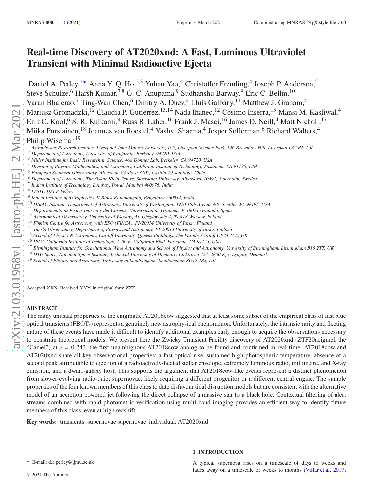# **Real-time Discovery of AT2020xnd: A Fast, Luminous Ultraviolet Transient with Minimal Radioactive Ejecta**

Daniel A. Perley,<sup>1★</sup> Anna Y. Q. Ho,<sup>2,3</sup> Yuhan Yao,<sup>4</sup> Christoffer Fremling,<sup>4</sup> Joseph P. Anderson,<sup>5</sup> Steve Schulze,<sup>6</sup> Harsh Kumar,<sup>7,8</sup> G. C. Anupama,<sup>9</sup> Sudhanshu Barway,<sup>9</sup> Eric C. Bellm,<sup>10</sup> Varun Bhalerao,<sup>7</sup> Ting-Wan Chen,<sup>6</sup> Dmitry A. Duev,<sup>4</sup> Lluís Galbany,<sup>11</sup> Matthew J. Graham,<sup>4</sup> Mariusz Gromadzki,<sup>12</sup> Claudia P. Gutiérrez,<sup>13,14</sup> Nada Ihanec,<sup>12</sup> Cosimo Inserra,<sup>15</sup> Mansi M. Kasliwal,<sup>4</sup> Erik C. Kool, <sup>6</sup> S. R. Kulkarni, <sup>4</sup> Russ R. Laher, <sup>16</sup> Frank J. Masci, <sup>16</sup> James D. Neill, <sup>4</sup> Matt Nicholl, <sup>17</sup> Miika Pursiainen,<sup>18</sup> Joannes van Roestel,<sup>4</sup> Yashvi Sharma,<sup>4</sup> Jesper Sollerman,<sup>6</sup> Richard Walters,<sup>4</sup> Philip Wiseman<sup>19</sup>

- <sup>1</sup> *Astrophysics Research Institute, Liverpool John Moores University, IC2, Liverpool Science Park, 146 Brownlow Hill, Liverpool L3 5RF, UK*
- <sup>2</sup> *Department of Astronomy, University of California, Berkeley, 94720, USA*
- <sup>3</sup> *Miller Institute for Basic Research in Science, 468 Donner Lab, Berkeley, CA 94720, USA*
- <sup>4</sup> *Division of Physics, Mathematics, and Astronomy, California Institute of Technology, Pasadena, CA 91125, USA*
- <sup>5</sup> *European Southern Observatory, Alonso de Córdova 3107, Casilla 19 Santiago, Chile*
- <sup>6</sup> *Department of Astronomy, The Oskar Klein Centre, Stockholm University, AlbaNova, 10691, Stockholm, Sweden*
- 7 *Indian Institute of Technology Bombay, Powai, Mumbai 400076, India*

<sup>8</sup> *LSSTC DSFP Fellow*

- 9 *Indian Institute of Astrophysics, II Block Koramangala, Bengaluru 560034, India*
- <sup>10</sup> *DIRAC Institute, Department of Astronomy, University of Washington, 3910 15th Avenue NE, Seattle, WA 98195, USA*
- <sup>11</sup> *Departamento de Física Teórica y del Cosmos, Universidad de Granada, E-18071 Granada, Spain.*
- <sup>12</sup> *Astronomical Observatory, University of Warsaw, Al. Ujazdowskie 4, 00-478 Warsaw, Poland*
- <sup>13</sup> *Finnish Centre for Astronomy with ESO (FINCA), FI-20014 University of Turku, Finland*
- <sup>14</sup> *Tuorla Observatory, Department of Physics and Astronomy, FI-20014 University of Turku, Finland*
- <sup>15</sup> *School of Physics & Astronomy, Cardiff University, Queens Buildings, The Parade, Cardiff CF24 3AA, UK*
- <sup>16</sup> *IPAC, California Institute of Technology, 1200 E. California Blvd, Pasadena, CA 91125, USA*
- <sup>17</sup> *Birmingham Institute for Gravitational Wave Astronomy and School of Physics and Astronomy, University of Birmingham, Birmingham B15 2TT, UK*
- <sup>18</sup> *DTU Space, National Space Institute, Technical University of Denmark, Elektrovej 327, 2800 Kgs. Lyngby, Denmark*
- <sup>19</sup> *School of Physics and Astronomy, University of Southampton, Southampton SO17 1BJ, UK*

Accepted XXX. Received YYY; in original form ZZZ

# **ABSTRACT**

The many unusual properties of the enigmatic AT2018cow suggested that at least some subset of the empirical class of fast blue optical transients (FBOTs) represents a genuinely new astrophysical phenomenon. Unfortunately, the intrinsic rarity and fleeting nature of these events have made it difficult to identify additional examples early enough to acquire the observations necessary to constrain theoretical models. We present here the Zwicky Transient Facility discovery of AT2020xnd (ZTF20acigmel, the "Camel") at  $z = 0.243$ , the first unambiguous AT2018cow analog to be found and confirmed in real time. AT2018cow and AT2020xnd share all key observational properties: a fast optical rise, sustained high photospheric temperature, absence of a second peak attributable to ejection of a radioactively-heated stellar envelope, extremely luminous radio, millimetre, and X-ray emission, and a dwarf-galaxy host. This supports the argument that AT2018cow-like events represent a distinct phenomenon from slower-evolving radio-quiet supernovae, likely requiring a different progenitor or a different central engine. The sample properties of the four known members of this class to date disfavour tidal disruption models but are consistent with the alternative model of an accretion powered jet following the direct collapse of a massive star to a black hole. Contextual filtering of alert streams combined with rapid photometric verification using multi-band imaging provides an efficient way to identify future members of this class, even at high redshift.

**Key words:** transients: supernovae supernovae: individual: AT2020xnd

# **1 INTRODUCTION**

© 2021 The Authors

<span id="page-0-0"></span><sup>★</sup> E-mail: d.a.perley@ljmu.ac.uk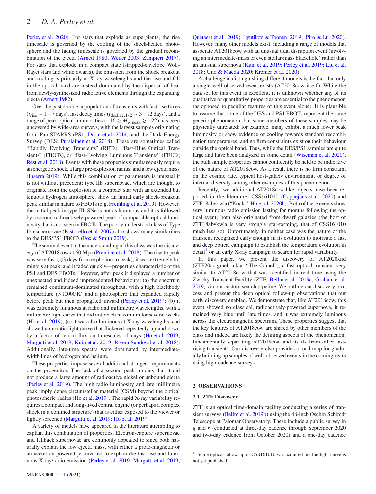[Perley et al. 2020](#page-9-1)). For stars that explode as supergiants, the rise timescale is governed by the cooling of the shock-heated photosphere and the fading timescale is governed by the gradual recombination of the ejecta [\(Arnett 1980](#page-9-2); [Weiler 2003](#page-9-3); [Zampieri 2017\)](#page-9-4). For stars that explode in a compact state (stripped-envelope Wolf-Rayet stars and white dwarfs), the emission from the shock breakout and cooling is primarily at X-ray wavelengths and the rise and fall in the optical band are instead dominated by the dispersal of heat from newly-synthesized radioactive elements through the expanding ejecta [\(Arnett 1982](#page-9-5)).

Over the past decade, a population of transients with fast rise times  $(t_{\text{rise}} \sim 1 - 7 \text{ days})$ , fast decay times  $(t_{\text{decline},1/2} \sim 3 - 12 \text{ days})$ , and a range of peak optical luminosities (−16  $\geq M_{g,peak} \geq -22$ ) has been uncovered by wide-area surveys, with the largest samples originating from Pan-STARRS (PS1; [Drout et al. 2014](#page-9-6)) and the Dark Energy Survey (DES; [Pursiainen et al. 2018\)](#page-9-7). These are sometimes called "Rapidly Evolving Transients" (RETs), "Fast-Blue Optical Transients" (FBOTs), or "Fast-Evolving Luminous Transients" (FELTs; [Rest et al. 2018\)](#page-9-8). Events with these properties simultaneously require an energetic shock, a large pre-explosion radius, and a low ejecta mass [\(Inserra 2019](#page-9-9)). While this combination of parameters is unusual it is not without precedent: type IIb supernovae, which are thought to originate from the explosion of a compact star with an extended but tenuous hydrogen atmosphere, show an initial early shock-breakout peak similar in nature to FBOTs (e.g. [Fremling et al. 2019\)](#page-9-10). However, the initial peak in type IIb SNe is not as luminous and it is followed by a second radioactively-powered peak of comparable optical luminosity that is not seen in FBOTs. The poorly-understood class of Type Ibn supernovae [\(Pastorello et al. 2007](#page-9-11)) also shows many similarities to the DES/PS1 FBOTs [\(Fox & Smith 2019\)](#page-9-12).

The seminal event in the understanding of this class was the discovery of AT2018cow at 60 Mpc [\(Prentice et al. 2018](#page-9-13)). The rise to peak was very fast  $(\leq 3$  days from explosion to peak), it was extremely luminous at peak, and it faded quickly—properties characteristic of the PS1 and DES FBOTs. However, after peak it displayed a number of unexpected and indeed unprecedented behaviours: (a) the spectrum remained continuum-dominated throughout, with a high blackbody temperature (>10000 K) and a photosphere that expanded rapidly before peak but then propagated inward [\(Perley et al. 2019\)](#page-9-14); (b) it was extremely luminous at radio and millimetre wavelengths, with a millimetre light curve that did not reach maximum for several weeks [\(Ho et al. 2019](#page-9-15)); (c) it was also luminous at X-ray wavelengths, and showed an erratic light curve that flickered repeatedly up and down by a factor of ten in flux on timescales of days [\(Ho et al. 2019](#page-9-15); [Margutti et al. 2019](#page-9-16); [Kuin et al. 2019](#page-9-17); [Rivera Sandoval et al. 2018\)](#page-9-18). Additionally, late-time spectra were dominated by intermediatewidth lines of hydrogen and helium.

These properties impose several additional stringent requirements on the progenitor. The lack of a second peak implies that it did not produce a large amount of radioactive nickel or unbound ejecta [\(Perley et al. 2019](#page-9-14)). The high radio luminosity and late millimetre peak imply dense circumstellar material (CSM) beyond the optical photospheric radius [\(Ho et al. 2019](#page-9-15)). The rapid X-ray variability requires a compact and long-lived central engine (or perhaps a complex shock in a confined structure) that is either exposed to the viewer or lightly screened [\(Margutti et al. 2019](#page-9-16); [Ho et al. 2019\)](#page-9-15).

A variety of models have appeared in the literature attempting to explain this combination of properties. Electron-capture supernovae and fallback supernovae are commonly appealed to since both naturally explain the low ejecta mass, with either a proto-magnetar or an accretion-powered jet invoked to explain the fast rise and luminous X-ray/radio emission [\(Perley et al. 2019;](#page-9-14) [Margutti et al. 2019](#page-9-16);

A challenge in distinguishing different models is the fact that only a single well-observed event exists (AT2018cow itself). While the data set for this event is excellent, it is unknown whether any of its qualitative or quantitative properties are essential to the phenomenon (as opposed to peculiar features of this event alone). It is plausible to assume that some of the DES and PS1 FBOTs represent the same generic phenomenon, but some members of these samples may be physically unrelated: for example, many exhibit a much lower peak luminosity or show evidence of cooling towards standard recombination temperatures, and no firm constraints exist on their behaviour outside the optical band. Thus, while the DES/PS1 samples are quite large and have been analyzed in some detail [\(Wiseman et al. 2020](#page-9-25)), the bulk sample properties cannot confidently be held to be indicative of the nature of AT2018cow. As a result there is no firm constraint on the cosmic rate, typical host-galaxy environment, or degree of internal diversity among other examples of this phenomenon.

Recently, two additional AT2018cow-like objects have been reported in the literature: CSS161010 [\(Coppejans et al. 2020](#page-9-26)) and ZTF18abvkwla ("Koala", [Ho et al. 2020b](#page-9-27)). Both of these events show very luminous radio emission lasting for months following the optical event; both also originated from dwarf galaxies (the host of ZTF18abvkwla is very strongly star-forming, that of CSS161010 much less so). Unfortunately, in neither case was the nature of the transient recognized early enough in its evolution to motivate a fast and deep optical campaign to establish the temperature evolution in  $\delta$  detail<sup>[1](#page-1-0)</sup> or an early X-ray campaign to search for rapid variability.

In this paper, we present the discovery of AT2020xnd (ZTF20acigmel, a.k.a. "The Camel"), a fast optical transient very similar to AT2018cow that was identified in real time using the Zwicky Transient Facility (ZTF; [Bellm et al. 2019a;](#page-9-28) [Graham et al.](#page-9-29) [2019](#page-9-29)) via our custom search pipeline. We outline our discovery process and present the deep optical follow-up observations that our early discovery enabled. We demonstrate that, like AT2018cow, this event showed no classical, radioactively-powered supernova, it remained very blue until late times, and it was extremely luminous across the electromagnetic spectrum. These properties suggest that the key features of AT2018cow are shared by other members of the class and indeed are likely the defining aspects of the phenomenon, fundamentally separating AT2018cow and its ilk from other fastrising transients. Our discovery also provides a road-map for gradually building up samples of well-observed events in the coming years using high-cadence surveys.

#### **2 OBSERVATIONS**

#### **2.1 ZTF Discovery**

ZTF is an optical time-domain facility conducting a series of transient surveys [\(Bellm et al. 2019b](#page-9-30)) using the 48-inch Oschin Schimdt Telescope at Palomar Observatory. These include a public survey in  $g$  and  $r$  (conducted at three-day cadence through September 2020 and two-day cadence from October 2020) and a one-day cadence

<span id="page-1-0"></span><sup>&</sup>lt;sup>1</sup> Some optical follow-up of CSS161010 was acquired but the light curve is not yet published.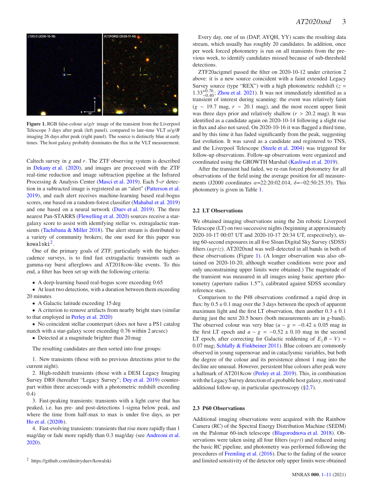

**Figure 1.** RGB false-colour  $u/g/r$  image of the transient from the Liverpool Telescope 3 days after peak (left panel), compared to late-time VLT  $u/g/R$ imaging 26 days after peak (right panel). The source is distinctly blue at early times. The host galaxy probably dominates the flux in the VLT measurement.

<span id="page-2-1"></span>Caltech survey in  $g$  and  $r$ . The ZTF observing system is described in [Dekany et al.](#page-9-31) [\(2020](#page-9-31)), and images are processed with the ZTF real-time reduction and image subtraction pipeline at the Infrared Processing & Analysis Center [\(Masci et al. 2019](#page-9-32)). Each  $5-\sigma$  detection in a subtracted image is registered as an "alert" [\(Patterson et al.](#page-9-33) [2019](#page-9-33)), and each alert receives machine-learning based real-bogus scores, one based on a random-forest classifier [\(Mahabal et al. 2019](#page-9-34)) and one based on a neural network [\(Duev et al. 2019\)](#page-9-35). The three nearest Pan-STARRS [\(Flewelling et al. 2020\)](#page-9-36) sources receive a stargalaxy score to assist with identifying stellar vs. extragalactic transients [\(Tachibana & Miller 2018](#page-9-37)). The alert stream is distributed to a variety of community brokers; the one used for this paper was kowalski<sup>[2](#page-2-0)</sup>.

One of the primary goals of ZTF, particularly with the highercadence surveys, is to find fast extragalactic transients such as gamma-ray burst afterglows and AT2018cow-like events. To this end, a filter has been set up with the following criteria:

• A deep-learning based real-bogus score exceeding 0.65

• At least two detections, with a duration between them exceeding 20 minutes

• A Galactic latitude exceeding 15 deg

• A criterion to remove artifacts from nearby bright stars (similar to that employed in [Perley et al. 2020](#page-9-1))

• No coincident stellar counterpart (does not have a PS1 catalog match with a star-galaxy score exceeding 0.76 within 2 arcsec)

• Detected at a magnitude brighter than 20 mag

The resulting candidates are then sorted into four groups:

1. New transients (those with no previous detections prior to the current night).

2. High-redshift transients (those with a DESI Legacy Imaging Survey DR8 (hereafter "Legacy Survey"; [Dey et al. 2019\)](#page-9-38) counterpart within three arcseconds with a photometric redshift exceeding  $(0.4)$ 

3. Fast-peaking transients: transients with a light curve that has peaked, i.e. has pre- and post-detections 1-sigma below peak, and where the time from half-max to max is under five days, as per [Ho et al.](#page-9-27) [\(2020b](#page-9-27)).

4. Fast-evolving transients: transients that rise more rapidly than 1 mag/day or fade more rapidly than 0.3 mag/day (see [Andreoni et al.](#page-9-39) [2020](#page-9-39)).

Every day, one of us (DAP, AYQH, YY) scans the resulting data stream, which usually has roughly 20 candidates. In addition, once per week forced photometry is run on all transients from the previous week, to identify candidates missed because of sub-threshold detections.

ZTF20acigmel passed the filter on 2020-10-12 under criterion 2 above: it is a new source coincident with a faint extended Legacy Survey source (type "REX") with a high photometric redshift ( $z =$  $1.33_{-0.40}^{+0.76}$ ; [Zhou et al. 2021\)](#page-9-40). It was not immediately identified as a transient of interest during scanning: the event was relatively faint  $(g \sim 19.7 \text{ mag}, r \sim 20.1 \text{ mag})$ , and the most recent upper limit was three days prior and relatively shallow  $(r > 20.2$  mag). It was identified as a candidate again on 2020-10-14 following a slight rise in flux and also not saved. On 2020-10-16 it was flagged a third time, and by this time it has faded significantly from the peak, suggesting fast evolution. It was saved as a candidate and registered to TNS, and the Liverpool Telescope [\(Steele et al. 2004](#page-9-41)) was triggered for follow-up observations. Follow-up observations were organized and coordinated using the GROWTH Marshal [\(Kasliwal et al. 2019](#page-9-42)).

After the transient had faded, we re-ran forced photometry for all observations of the field using the average position for all measurements (J2000 coordinates  $\alpha = 22:20:02.014$ ,  $\delta = -02:50:25.35$ ). This photometry is given in Table [1.](#page-4-0)

#### **2.2 LT Observations**

We obtained imaging observations using the 2m robotic Liverpool Telescope (LT) on two successive nights (beginning at approximately 2020-10-17 00:07 UT and 2020-10-17 20:34 UT, respectively), using 60-second exposures in all five Sloan Digital Sky Survey (SDSS) filters ( $ugriz$ ). AT2020xnd was well-detected in all bands in both of these observations (Figure [1\)](#page-2-1). (A longer observation was also obtained on 2020-10-20, although weather conditions were poor and only unconstraining upper limits were obtained.) The magnitude of the transient was measured in all images using basic aperture photometry (aperture radius 1.5′′), calibrated against SDSS secondary reference stars.

Comparison to the P48 observations confirmed a rapid drop in flux: by  $0.5 \pm 0.1$  mag over the 3 days between the epoch of apparent maximum light and the first LT observation, then another  $0.3 \pm 0.1$ during just the next  $20.5$  hours (both measurements are in  $g$ -band). The observed colour was very blue  $(u - g = -0.42 \pm 0.05$  mag in the first LT epoch and  $u - g = -0.52 \pm 0.10$  mag in the second LT epoch, after correcting for Galactic reddening of  $E(B - V)$  = 0.07 mag; [Schlafly & Finkbeiner 2011](#page-9-43)). Blue colours are commonly observed in young supernovae and in cataclysmic variables, but both the degree of the colour and its persistence almost 1 mag into the decline are unusual. However, persistent blue colours after peak were a hallmark of AT2018cow [\(Perley et al. 2019](#page-9-14)). This, in combination with the Legacy Survey detection of a probable host galaxy, motivated additional follow-up, in particular spectroscopy ([§2.7\)](#page-3-0).

#### **2.3 P60 Observations**

Additional imaging observations were acquired with the Rainbow Camera (RC) of the Spectral Energy Distribution Machine (SEDM) on the Palomar 60-inch telescope [\(Blagorodnova et al. 2018\)](#page-9-44). Observations were taken using all four filters  $(ugri)$  and reduced using the basic RC pipeline, and photometry was performed following the procedures of [Fremling et al.](#page-9-45) [\(2016](#page-9-45)). Due to the fading of the source and limited sensitivity of the detector only upper limits were obtained

<span id="page-2-0"></span><sup>2</sup> https://github.com/dmitryduev/kowalski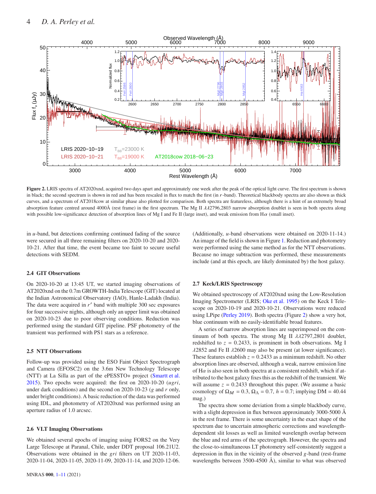

<span id="page-3-1"></span>Figure 2. LRIS spectra of AT2020xnd, acquired two days apart and approximately one week after the peak of the optical light curve. The first spectrum is shown in black; the second spectrum is shown in red and has been rescaled in flux to match the first (in r-band). Theoretical blackbody spectra are also shown as thick curves, and a spectrum of AT2018cow at similar phase also plotted for comparison. Both spectra are featureless, although there is a hint of an extremely broad absorption feature centred around 4000Å (rest frame) in the first spectrum. The Mg II  $\lambda\lambda$ 2796,2803 narrow absorption doublet is seen in both spectra along with possible low-significance detection of absorption lines of Mg I and Fe II (large inset), and weak emission from H $\alpha$  (small inset).

in  $u$ -band, but detections confirming continued fading of the source were secured in all three remaining filters on 2020-10-20 and 2020- 10-21. After that time, the event became too faint to secure useful detections with SEDM.

## **2.4 GIT Observations**

On 2020-10-20 at 13:45 UT, we started imaging observations of AT2020xnd on the 0.7m GROWTH-India Telescope (GIT) located at the Indian Astronomical Observatory (IAO), Hanle-Ladakh (India). The data were acquired in  $r'$  band with multiple 300 sec exposures for four successive nights, although only an upper limit was obtained on 2020-10-23 due to poor observing conditions. Reduction was performed using the standard GIT pipeline. PSF photometry of the transient was performed with PS1 stars as a reference.

# **2.5 NTT Observations**

Follow-up was provided using the ESO Faint Object Spectrograph and Camera (EFOSC2) on the 3.6m New Technology Telescope (NTT) at La Silla as part of the ePESSTO+ project [\(Smartt et al.](#page-9-46) [2015](#page-9-46)). Two epochs were acquired: the first on 2020-10-20  $(ugri,$ under dark conditions) and the second on 2020-10-23 ( $g$  and  $r$  only, under bright conditions). A basic reduction of the data was performed using IDL, and photometry of AT2020xnd was performed using an aperture radius of 1.0 arcsec.

#### **2.6 VLT Imaging Observations**

We obtained several epochs of imaging using FORS2 on the Very Large Telescope at Paranal, Chile, under DDT proposal 106.21U2. Observations were obtained in the  $gri$  filters on UT 2020-11-03, 2020-11-04, 2020-11-05, 2020-11-09, 2020-11-14, and 2020-12-06. (Additionally,  $u$ -band observations were obtained on 2020-11-14.) An image of the field is shown in Figure [1.](#page-2-1) Reduction and photometry were performed using the same method as for the NTT observations. Because no image subtraction was performed, these measurements include (and at this epoch, are likely dominated by) the host galaxy.

#### <span id="page-3-0"></span>**2.7 Keck/LRIS Spectroscopy**

We obtained spectroscopy of AT2020xnd using the Low-Resolution Imaging Spectrometer (LRIS; [Oke et al. 1995](#page-9-47)) on the Keck I Telescope on 2020-10-19 and 2020-10-21. Observations were reduced using LPipe [\(Perley 2019](#page-9-48)). Both spectra (Figure [2\)](#page-3-1) show a very hot, blue continuum with no easily-identifiable broad features.

A series of narrow absorption lines are superimposed on the continuum of both spectra. The strong Mg II  $\lambda\lambda$ 2797,2801 doublet, redshifted to  $z = 0.2433$ , is prominent in both observations. Mg I  $\lambda$ 2852 and Fe II  $\lambda$ 2600 may also be present (at lower significance). These features establish  $z = 0.2433$  as a minimum redshift. No other absorption lines are observed, although a weak, narrow emission line of H $\alpha$  is also seen in both spectra at a consistent redshift, which if attributed to the host galaxy fixes this as the redshift of the transient. We will assume  $z = 0.2433$  throughout this paper. (We assume a basic cosmology of  $\Omega_M = 0.3$ ,  $\Omega_{\Lambda} = 0.7$ ,  $h = 0.7$ ; implying DM = 40.44 mag.)

The spectra show some deviation from a simple blackbody curve, with a slight depression in flux between approximately 3000-5000 Å in the rest frame. There is some uncertainty in the exact shape of the spectrum due to uncertain atmospheric corrections and wavelengthdependent slit losses as well as limited wavelength overlap between the blue and red arms of the spectrograph. However, the spectra and the close-to-simultaneous LT photometry self-consistently suggest a depression in flux in the vicinity of the observed  $g$ -band (rest-frame wavelengths between 3500-4500 Å), similar to what was observed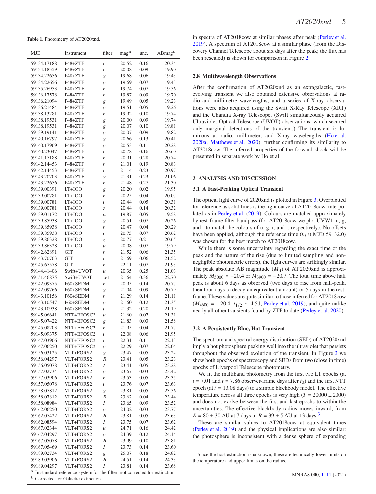**Table 1.** Photometry of AT2020xnd.

<span id="page-4-0"></span>

| <b>MJD</b>                                                                          | Instrument             | filter             | mag <sup>a</sup> | unc.         | ABmag <sup>b</sup> |
|-------------------------------------------------------------------------------------|------------------------|--------------------|------------------|--------------|--------------------|
| 59134.17188                                                                         | P48+ZTF                | r                  | 20.52            | 0.16         | 20.34              |
| 59134.18359                                                                         | P48+ZTF                | r                  | 20.08            | 0.09         | 19.90              |
| 59134.22656                                                                         | P48+ZTF                | g                  | 19.68            | 0.06         | 19.43              |
| 59134.22656                                                                         | P48+ZTF                | g                  | 19.69            | 0.07         | 19.43              |
| 59135.26953                                                                         | P48+ZTF                | r                  | 19.74            | 0.07         | 19.56              |
| 59136.17578                                                                         | P48+ZTF                | r                  | 19.87            | 0.09         | 19.70              |
| 59136.21094                                                                         | P48+ZTF                | g                  | 19.49            | 0.05         | 19.23              |
| 59136.21484                                                                         | P48+ZTF                | g                  | 19.51            | 0.05         | 19.26              |
| 59138.13281                                                                         | P48+ZTF                | r                  | 19.92            | 0.10         | 19.74              |
| 59138.19531                                                                         | P48+ZTF                | g                  | 20.00            | 0.09         | 19.74              |
| 59138.19531                                                                         | P48+ZTF                | g                  | 20.07            | 0.10         | 19.81              |
| 59139.19141                                                                         | P48+ZTF                | g                  | 20.07            | 0.09         | 19.82              |
| 59140.16797                                                                         | P48+ZTF                | g                  | 20.66            | 0.13         | 20.41              |
| 59140.17969                                                                         | P48+ZTF                | g                  | 20.53            | 0.11         | 20.28              |
| 59140.23047                                                                         | P48+ZTF                | r                  | 20.78            | 0.16         | 20.60              |
| 59141.17188                                                                         | P48+ZTF                | r                  | 20.91            | 0.28         | 20.74              |
| 59142.14453                                                                         | P48+ZTF                | r                  | 21.01            | 0.19         | 20.83              |
| 59142.14453                                                                         | P48+ZTF                | r                  | 21.14            | 0.23         | 20.97              |
| 59143.20703                                                                         | P48+ZTF                | g                  | 21.31            | 0.23         | 21.06              |
| 59143.22656                                                                         | P48+ZTF                | r                  | 21.48            | 0.27         | 21.30              |
| 59139.00391<br>59139.00781                                                          | $LT+IOO$<br>$LT+IOO$   | g                  | 20.20<br>20.25   | 0.02<br>0.04 | 19.95              |
| 59139.00781                                                                         | $LT+IOO$               | r<br>i             | 20.44            |              | 20.07<br>20.31     |
| 59139.00781                                                                         | $LT+IOO$               |                    | 20.44            | 0.05<br>0.14 | 20.32              |
| 59139.01172                                                                         | LT+IOO                 | Z<br>$\mathcal{U}$ | 19.87            | 0.05         | 19.58              |
| 59139.85938                                                                         | $LT+IOO$               |                    | 20.51            | 0.07         | 20.26              |
| 59139.85938                                                                         | LT+IOO                 | g<br>r             | 20.47            | 0.04         | 20.29              |
| 59139.85938                                                                         | $LT+IOO$               | i                  | 20.75            | 0.07         | 20.62              |
| 59139.86328                                                                         | $LT+IOO$               | Z                  | 20.77            | 0.21         | 20.65              |
| 59139.86328                                                                         | $LT+IOO$               | $\mathcal{U}$      | 20.08            | 0.07         | 19.79              |
| 59142.62891                                                                         | <b>GIT</b>             | r                  | 21.52            | 0.06         | 21.35              |
| 59143.70703                                                                         | <b>GIT</b>             | r                  | 21.69            | 0.06         | 21.52              |
| 59145.67578                                                                         | <b>GIT</b>             | r                  | 22.11            | 0.07         | 21.93              |
| 59144.41406                                                                         | Swift+UVOT             | $\mathfrak u$      | 20.35            | 0.25         | 21.03              |
| 59151.46875                                                                         | Swift+UVOT             | w 1                | 21.64            | 0.36         | 22.70              |
| 59142.09375                                                                         | P60+SEDM               | r                  | 20.95            | 0.14         | 20.77              |
| 59142.09766                                                                         | P60+SEDM               | g                  | 21.04            | 0.09         | 20.79              |
| 59143.10156                                                                         | P60+SEDM               | r                  | 21.29            | 0.14         | 21.11              |
| 59143.10547                                                                         | P60+SEDM               | g                  | 21.60            | 0.12         | 21.35              |
| 59143.10938                                                                         | P60+SEDM               | i                  | 21.32            | 0.20         | 21.19              |
| 59145.06641                                                                         | NTT+EFOSC2             | $\mathcal{U}$      | 21.60            | 0.07         | 21.31              |
| 59145.07422                                                                         | NTT+EFOSC2             | g                  | 21.83            | 0.03         | 21.58              |
| 59145.08203                                                                         | NTT+EFOSC2             | r                  | 21.95            | 0.04         | 21.77              |
| 59145.09375                                                                         | NTT+EFOSC2             | i                  | 22.08            | 0.06         | 21.95              |
| 59147.03906                                                                         | NTT+EFOSC2             | r                  | 22.31            | 0.11         | 22.13              |
| 59147.06250                                                                         | NTT+EFOSC2             | g                  | 22.29            | 0.07         | 22.04              |
| 59156.03125                                                                         | VLT+FORS2              | g                  | 23.47            | 0.05         | 23.22              |
| 59156.04297                                                                         | VLT+FORS2              | R                  | 23.41            | 0.05         | 23.23              |
| 59156.05078                                                                         | VLT+FORS2              | Ι                  | 23.41            | 0.05         | 23.28              |
| 59157.02734                                                                         | VLT+FORS2              | g                  | 23.67            | 0.03         | 23.42              |
| 59157.03906                                                                         | VLT+FORS2              | r                  | 23.53            | 0.05         | 23.35              |
| 59157.05078                                                                         | VLT+FORS2              | i                  | 23.76            | 0.07         | 23.63              |
| 59158.07812                                                                         | VLT+FORS2              | g                  | 23.81            | 0.05         | 23.56              |
| 59158.07812                                                                         | VLT+FORS2              | R<br>I             | 23.62<br>23.65   | 0.04         | 23.44              |
| 59158.08984<br>59162.06250                                                          | VLT+FORS2              |                    |                  | 0.09         | 23.52              |
| 59162.07422                                                                         | VLT+FORS2<br>VLT+FORS2 | g<br>R             | 24.02<br>23.81   | 0.03<br>0.05 | 23.77<br>23.63     |
| 59162.08594                                                                         | VLT+FORS2              | Ι                  | 23.75            | 0.07         | 23.62              |
| 59167.02344                                                                         | VLT+FORS2              | $\mathcal{U}$      | 24.71            | 0.16         | 24.42              |
| 59167.04297                                                                         | VLT+FORS2              |                    | 24.39            | 0.12         | 24.14              |
| 59167.05078                                                                         | VLT+FORS2              | g<br>R             | 23.99            | 0.10         | 23.81              |
| 59167.05469                                                                         | VLT+FORS2              | Ι                  | 23.73            | 0.14         | 23.60              |
| 59189.02734                                                                         | VLT+FORS2              | g                  | 25.07            | 0.18         | 24.82              |
| 59189.03906                                                                         | VLT+FORS2              | R                  | 24.51            | 0.14         | 24.33              |
| 59189.04297                                                                         | VLT+FORS2              | Ι                  | 23.81            | 0.14         | 23.68              |
| $\alpha$ In standard reference system for the filter: not corrected for extinction. |                        |                    |                  |              |                    |

 $\sp{b}$  Corrected for Galactic extinction.

in spectra of AT2018cow at similar phases after peak [\(Perley et al.](#page-9-14) [2019](#page-9-14)). A spectrum of AT2018cow at a similar phase (from the Discovery Channel Telescope about six days after the peak; the flux has been rescaled) is shown for comparison in Figure [2.](#page-3-1)

#### **2.8 Multiwavelength Observations**

After the confirmation of AT2020xnd as an extragalactic, fastevolving transient we also obtained extensive observations at radio and millimetre wavelengths, and a series of X-ray observations were also acquired using the Swift X-Ray Telescope (XRT) and the Chandra X-ray Telescope. (Swift simultaneously acquired Ultraviolet-Optical Telescope (UVOT) observations, which secured only marginal detections of the transient.) The transient is luminous at radio, millimeter, and X-ray wavelengths [\(Ho et al.](#page-9-49) [2020a](#page-9-49); [Matthews et al. 2020](#page-9-50)), further confirming its similarity to AT2018cow. The inferred properties of the forward shock will be presented in separate work by Ho et al.

#### **3 ANALYSIS AND DISCUSSION**

#### **3.1 A Fast-Peaking Optical Transient**

The optical light curve of 2020xnd is plotted in Figure [3.](#page-5-0) Overplotted for reference as solid lines is the light curve of AT2018cow, interpolated as in [Perley et al.](#page-9-14) [\(2019](#page-9-14)). Colours are matched approximately by rest-frame filter bandpass (for AT2018cow we plot UVW1, u, g, and r to match the colours of u, g, r, and i, respectively). No offsets have been applied, although the reference time  $(t_0$  at MJD 59132.0) was chosen for the best match to AT2018cow.

While there is some uncertainty regarding the exact time of the peak and the nature of the rise (due to limited sampling and nonnegligible photometric errors), the light curves are strikingly similar. The peak absolute AB magnitude  $(M_{\lambda})$  of AT 2020xnd is approximately  $M_{5000} = -20.4$  or  $M_{3900} = -20.7$ . The total time above half peak is about 6 days as observed (two days to rise from half-peak, then four days to decay an equivalent amount) or 5 days in the restframe. These values are quite similar to those inferred for AT2018cow  $(M_{4600} = -20.4, t_{1/2} \sim 4.5d$ ; [Perley et al. 2019](#page-9-14)), and quite unlike nearly all other transients found by ZTF to date [\(Perley et al. 2020](#page-9-1)).

#### **3.2 A Persistently Blue, Hot Transient**

The spectrum and spectral energy distribution (SED) of AT2020xnd imply a hot photosphere peaking well into the ultraviolet that persists throughout the observed evolution of the transient. In Figure [2](#page-3-1) we show both epochs of spectroscopy and SEDs from two (close in time) epochs of Liverpool Telescope photometry.

We fit the multiband photometry from the first two LT epochs (at  $t = 7.01$  and  $t = 7.86$  observer-frame days after  $t<sub>0</sub>$ ) and the first NTT epoch (at  $t = 13.08$  days) to a simple blackbody model. The effective temperature across all three epochs is very high ( $T = 20000 \pm 2000$ ) and does not evolve between the first and last epochs to within the uncertainties. The effective blackbody radius moves inward, from  $R = 80 \pm 30$  $R = 80 \pm 30$  $R = 80 \pm 30$  AU at 7 days to  $R = 39 \pm 5$  AU at 13 days.<sup>3</sup>

These are similar values to AT2018cow at equivalent times [\(Perley et al. 2019](#page-9-14)) and the physical implications are also similar: the photosphere is inconsistent with a dense sphere of expanding

<span id="page-4-1"></span><sup>&</sup>lt;sup>3</sup> Since the host extinction is unknown, these are technically lower limits on the temperature and upper limits on the radius.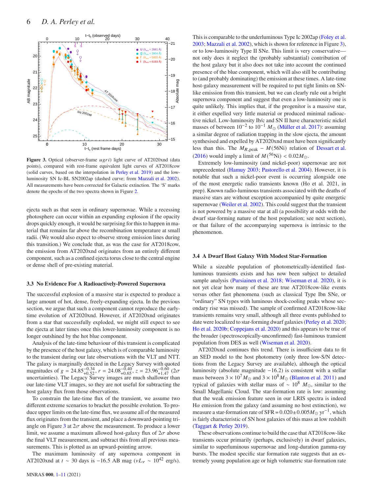

<span id="page-5-0"></span>Figure 3. Optical (observer-frame *ugri*) light curve of AT2020xnd (data points), compared with rest-frame equivalent light curves of AT2018cow (solid curves, based on the interpolation in [Perley et al. 2019](#page-9-14)) and the lowluminosity SN Ic-BL SN2002ap (dashed curve; from [Mazzali et al. 2002](#page-9-51)). All measurements have been corrected for Galactic extinction. The 'S' marks denote the epochs of the two spectra shown in Figure [2.](#page-3-1)

ejecta such as that seen in ordinary supernovae. While a recessing photosphere can occur within an expanding explosion if the opacity drops quickly enough, it would be surprising for this to happen in material that remains far above the recombination temperature at small radii. (We would also expect to observe strong emission lines during this transition.) We conclude that, as was the case for AT2018cow, the emission from AT2020xnd originates from an entirely different component, such as a confined ejecta torus close to the central engine or dense shell of pre-existing material.

#### **3.3 No Evidence For A Radioactively-Powered Supernova**

The successful explosion of a massive star is expected to produce a large amount of hot, dense, freely-expanding ejecta. In the previous section, we argue that such a component cannot reproduce the earlytime evolution of AT2020xnd. However, if AT2020xnd originates from a star that successfully exploded, we might still expect to see the ejecta at later times once this lower-luminosity component is no longer outshined by the hot blue component.

Analysis of the late-time behaviour of this transient is complicated by the presence of the host galaxy, which is of comparable luminosity to the transient during our late observations with the VLT and NTT. The galaxy is marginally detected in the Legacy Survey with quoted magnitudes of  $g = 24.85_{+0.52}^{-0.34}$ ,  $r = 24.08_{+0.65}^{-0.40}$ ,  $z = 23.96_{-0.60}^{-0.60}$  (2 $\sigma$ uncertainties). The Legacy Survey images are much shallower than our late-time VLT images, so they are not useful for subtracting the host galaxy flux from those observations.

To constrain the late-time flux of the transient, we assume two different extreme scenarios to bracket the possible evolution. To produce upper limits on the late-time flux, we assume all of the measured flux originates from the transient, and place a downward-pointing tri-angle on Figure [3](#page-5-0) at  $2\sigma$  above the measurement. To produce a lower limit, we assume a maximum allowed host-galaxy flux of  $2\sigma$  above the final VLT measurement, and subtract this from all previous measurements. This is plotted as an upward-pointing arrow.

The maximum luminosity of any supernova component in AT2020xnd at  $t \sim 30$  days is -16.5 AB mag ( $vL_v \sim 10^{42}$  erg/s). This is comparable to the underluminous Type Ic 2002ap [\(Foley et al.](#page-9-52) [2003](#page-9-52); [Mazzali et al. 2002](#page-9-51)), which is shown for reference in Figure [3\)](#page-5-0), or to low-luminosity Type II SNe. This limit is very conservative not only does it neglect the (probably substantial) contribution of the host galaxy but it also does not take into account the continued presence of the blue component, which will also still be contributing to (and probably dominating) the emission at these times. A late-time host-galaxy measurement will be required to put tight limits on SNlike emission from this transient, but we can clearly rule out a bright supernova component and suggest that even a low-luminosity one is quite unlikely. This implies that, if the progenitor is a massive star, it either expelled very little material or produced minimal radioactive nickel. Low-luminosity Ib/c and SN II have characteristic nickel masses of between  $10^{-2}$  to  $10^{-1}$   $M_{\odot}$  [\(Müller et al. 2017\)](#page-9-53): assuming a similar degree of radiation trapping in the slow ejecta, the amount synthesised and expelled by AT2020xnd must have been significantly less than this. The  $M_{R,peak}$  –  $M(56Ni)$  relation of [Dessart et al.](#page-9-54) [\(2016](#page-9-54)) would imply a limit of  $M(^{56}\text{Ni}) < 0.02 M_{\odot}$ .

Extremely low-luminosity (and nickel-poor) supernovae are not unprecedented [\(Hamuy 2003;](#page-9-55) [Pastorello et al. 2004](#page-9-56)). However, it is notable that such a nickel-poor event is occurring alongside one of the most energetic radio transients known (Ho et al. 2021, in prep). Known radio-luminous transients associated with the deaths of massive stars are without exception accompanied by quite energetic supernovae [\(Weiler et al. 2002\)](#page-9-57). This could suggest that the transient is not powered by a massive star at all (a possibility at odds with the dwarf star-forming nature of the host population; see next section), or that failure of the accompanying supernova is intrinsic to the phenomenon.

#### **3.4 A Dwarf Host Galaxy With Modest Star-Formation**

While a sizeable population of photometrically-identified fastluminous transients exists and has now been subject to detailed sample analysis [\(Pursiainen et al. 2018](#page-9-7); [Wiseman et al. 2020](#page-9-25)), it is not yet clear how many of these are true AT2018cow-like events versus other fast phenomena (such as classical Type Ibn SNe, or "ordinary" SN types with luminous shock-cooling peaks whose secondary rise was missed). The sample of confirmed AT2018cow-like transients remains very small, although all three events published to date were localized to star-forming dwarf galaxies [\(Perley et al. 2020;](#page-9-1) [Ho et al. 2020b](#page-9-27); [Coppejans et al. 2020\)](#page-9-26) and this appears to be true of the broader (spectroscopically-unconfirmed) fast-luminous transient population from DES as well [\(Wiseman et al. 2020](#page-9-25)).

AT2020xnd continues this trend. There is insufficient data to fit an SED model to the host photometry (only three low-S/N detections from the Legacy Survey are available), although the optical luminosity (absolute magnitude −16.2) is consistent with a stellar mass between  $3 \times 10^7 M_{\odot}$  and  $3 \times 10^8 M_{\odot}$  [\(Blanton et al. 2011](#page-9-58)) and typical of galaxies with stellar mass of ~ 10<sup>8</sup>  $M_{\odot}$ , similar to the Small Magellanic Cloud. The star-formation rate is low: assuming that the weak emission feature seen in our LRIS spectra is indeed  $H\alpha$  emission from the galaxy (and assuming no host extinction), we measure a star-formation rate of SFR =  $0.020 \pm 0.005 M_{\odot}$  yr<sup>-1</sup>, which is fairly characteristic of SN host galaxies of this mass at low redshift [\(Taggart & Perley 2019](#page-9-59)).

These observations continue to build the case that AT2018cow-like transients occur primarily (perhaps, exclusively) in dwarf galaxies, similar to superluminous supernovae and long-duration gamma-ray bursts. The modest specific star formation rate suggests that an extremely young population age or high volumetric star-formation rate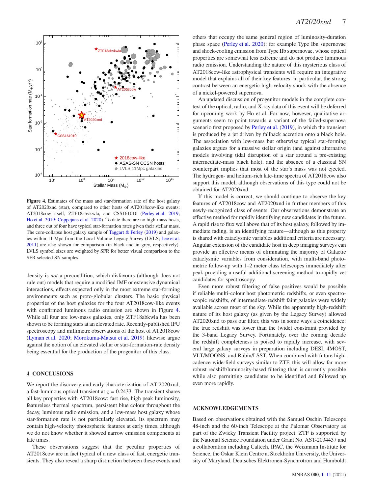

<span id="page-6-1"></span>**Figure 4.** Estimates of the mass and star-formation rate of the host galaxy of AT2020xnd (star), compared to other hosts of AT2018cow-like events: AT2018cow itself, ZTF18abvkwla, and CSS161010 [\(Perley et al. 2019;](#page-9-14) [Ho et al. 2019](#page-9-15); [Coppejans et al. 2020](#page-9-26)). To date there are no high-mass hosts, and three out of four have typical star-formation rates given their stellar mass. The core-collapse host galaxy sample of [Taggart & Perley](#page-9-59) [\(2019](#page-9-59)) and galaxies within 11 Mpc from the Local Volume Legacy Survey (LVLS; [Lee et al.](#page-9-60) [2011](#page-9-60)) are also shown for comparison (in black and in grey, respectively). LVLS symbol sizes are weighted by SFR for better visual comparison to the SFR-selected SN samples.

density is *not* a precondition, which disfavours (although does not rule out) models that require a modified IMF or extensive dynamical interactions, effects expected only in the most extreme star-forming environments such as proto-globular clusters. The basic physical properties of the host galaxies for the four AT2018cow-like events with confirmed luminous radio emission are shown in Figure [4.](#page-6-1) While all four are low-mass galaxies, only ZTF18abkwla has been shown to be forming stars at an elevated rate. Recently-published IFU spectroscopy and millimetre observations of the host of AT2018cow [\(Lyman et al. 2020](#page-9-61); [Morokuma-Matsui et al. 2019](#page-9-62)) likewise argue against the notion of an elevated stellar or star-formation-rate density being essential for the production of the progenitor of this class.

## <span id="page-6-0"></span>**4 CONCLUSIONS**

We report the discovery and early characterization of AT 2020xnd, a fast-luminous optical transient at  $z = 0.2433$ . The transient shares all key properties with AT2018cow: fast rise, high peak luminosity, featureless thermal spectrum, persistent blue colour throughout the decay, luminous radio emission, and a low-mass host galaxy whose star-formation rate is not particularly elevated. Its spectrum may contain high-velocity photospheric features at early times, although we do not know whether it showed narrow emission components at late times.

These observations suggest that the peculiar properties of AT2018cow are in fact typical of a new class of fast, energetic transients. They also reveal a sharp distinction between these events and

others that occupy the same general region of luminosity-duration phase space [\(Perley et al. 2020](#page-9-1)): for example Type Ibn supernovae and shock-cooling emission from Type IIb supernovae, whose optical properties are somewhat less extreme and do not produce luminous radio emission. Understanding the nature of this mysterious class of AT2018cow-like astrophysical transients will require an integrative model that explains all of their key features: in particular, the strong contrast between an energetic high-velocity shock with the absence of a nickel-powered supernova.

An updated discussion of progenitor models in the complete context of the optical, radio, and X-ray data of this event will be deferred for upcoming work by Ho et al. For now, however, qualitative arguments seem to point towards a variant of the failed-supernova scenario first proposed by [Perley et al.](#page-9-14) [\(2019\)](#page-9-14), in which the transient is produced by a jet driven by fallback accretion onto a black hole. The association with low-mass but otherwise typical star-forming galaxies argues for a massive stellar origin (and against alternative models involving tidal disruption of a star around a pre-existing intermediate-mass black hole), and the absence of a classical SN counterpart implies that most of the star's mass was not ejected. The hydrogen- and helium-rich late-time spectra of AT2018cow also support this model, although observations of this type could not be obtained for AT2020xnd.

If this model is correct, we should continue to observe the key features of AT2018cow and AT2020xnd in further members of this newly-recognized class of events. Our observations demonstrate an effective method for rapidly identifying new candidates in the future. A rapid rise to flux well above that of its host galaxy, followed by immediate fading, is an identifying feature—although as this property is shared with cataclysmic variables additional criteria are necessary. Angular extension of the candidate host in deep imaging surveys can provide an effective means of eliminating the majority of Galactic cataclysmic variables from consideration, with multi-band photometric follow-up with 1–2 meter class telescopes immediately after peak providing a useful additional screening method to rapidly vet candidates for spectroscopy.

Even more robust filtering of false positives would be possible if reliable multi-colour host photometric redshifts, or even spectroscopic redshifts, of intermediate-redshift faint galaxies were widely available across most of the sky. While the apparently high-redshift nature of its host galaxy (as given by the Legacy Survey) allowed AT2020xnd to pass our filter, this was in some ways a coincidence: the true redshift was lower than the (wide) constraint provided by the 3-band Legacy Survey. Fortunately, over the coming decade the redshift completeness is poised to rapidly increase, with several large galaxy surveys in preparation including DESI, 4MOST, VLT/MOONS, and Rubin/LSST. When combined with future highcadence wide-field surveys similar to ZTF, this will allow far more robust redshift/luminosity-based filtering than is currently possible while also permitting candidates to be identified and followed up even more rapidly.

## **ACKNOWLEDGEMENTS**

Based on observations obtained with the Samuel Oschin Telescope 48-inch and the 60-inch Telescope at the Palomar Observatory as part of the Zwicky Transient Facility project. ZTF is supported by the National Science Foundation under Grant No. AST-2034437 and a collaboration including Caltech, IPAC, the Weizmann Institute for Science, the Oskar Klein Centre at Stockholm University, the University of Maryland, Deutsches Elektronen-Synchrotron and Humboldt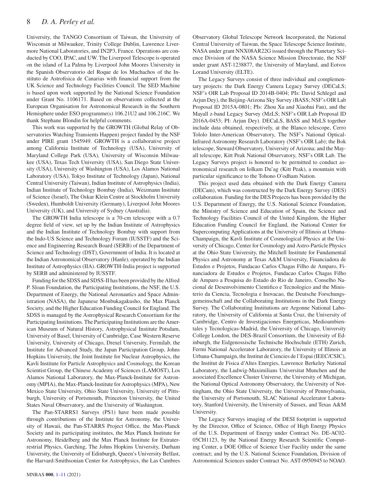University, the TANGO Consortium of Taiwan, the University of Wisconsin at Milwaukee, Trinity College Dublin, Lawrence Livermore National Laboratories, and IN2P3, France. Operations are conducted by COO, IPAC, and UW. The Liverpool Telescope is operated on the island of La Palma by Liverpool John Moores University in the Spanish Observatorio del Roque de los Muchachos of the Instituto de Astrofisica de Canarias with financial support from the UK Science and Technology Facilities Council. The SED Machine is based upon work supported by the National Science Foundation under Grant No. 1106171. Based on observations collected at the European Organisation for Astronomical Research in the Southern Hemisphere under ESO programme(s) 106.21U2 and 106.216C. We thank Stephane Blondin for helpful comments.

This work was supported by the GROWTH (Global Relay of Observatories Watching Transients Happen) project funded by the NSF under PIRE grant 1545949. GROWTH is a collaborative project among California Institute of Technology (USA), University of Maryland College Park (USA), University of Wisconsin Milwaukee (USA), Texas Tech University (USA), San Diego State University (USA), University of Washington (USA), Los Alamos National Laboratory (USA), Tokyo Institute of Technology (Japan), National Central University (Taiwan), Indian Institute of Astrophysics (India), Indian Institute of Technology Bombay (India), Weizmann Institute of Science (Israel), The Oskar Klein Centre at Stockholm University (Sweden), Humboldt University (Germany), Liverpool John Moores University (UK), and University of Sydney (Australia).

The GROWTH India telescope is a 70-cm telescope with a 0.7 degree field of view, set up by the Indian Institute of Astrophysics and the Indian Institute of Technology Bombay with support from the Indo-US Science and Technology Forum (IUSSTF) and the Science and Engineering Research Board (SERB) of the Department of Science and Technology (DST), Government of India. It is located at the Indian Astronomical Observatory (Hanle), operated by the Indian Institute of Astrophysics (IIA). GROWTH-India project is supported by SERB and administered by IUSSTF.

Funding for the SDSS and SDSS-II has been provided by the Alfred P. Sloan Foundation, the Participating Institutions, the NSF, the U.S. Department of Energy, the National Aeronautics and Space Administration (NASA), the Japanese Monbukagakusho, the Max Planck Society, and the Higher Education Funding Council for England. The SDSS is managed by the Astrophysical Research Consortium for the Participating Institutions. The Participating Institutions are the American Museum of Natural History, Astrophysical Institute Potsdam, University of Basel, University of Cambridge, Case Western Reserve University, University of Chicago, Drexel University, Fermilab, the Institute for Advanced Study, the Japan Participation Group, Johns Hopkins University, the Joint Institute for Nuclear Astrophysics, the Kavli Institute for Particle Astrophysics and Cosmology, the Korean Scientist Group, the Chinese Academy of Sciences (LAMOST), Los Alamos National Laboratory, the Max-Planck-Institute for Astronomy (MPIA), the Max-Planck-Institute for Astrophysics (MPA), New Mexico State University, Ohio State University, University of Pittsburgh, University of Portsmouth, Princeton University, the United States Naval Observatory, and the University of Washington.

The Pan-STARRS1 Surveys (PS1) have been made possible through contributions of the Institute for Astronomy, the University of Hawaii, the Pan-STARRS Project Office, the Max-Planck Society and its participating institutes, the Max Planck Institute for Astronomy, Heidelberg and the Max Planck Institute for Extraterrestrial Physics, Garching, The Johns Hopkins University, Durham University, the University of Edinburgh, Queen's University Belfast, the Harvard-Smithsonian Center for Astrophysics, the Las Cumbres Observatory Global Telescope Network Incorporated, the National Central University of Taiwan, the Space Telescope Science Institute, NASA under grant NNX08AR22G issued through the Planetary Science Division of the NASA Science Mission Directorate, the NSF under grant AST-1238877, the University of Maryland, and Eotvos Lorand University (ELTE).

The Legacy Surveys consist of three individual and complementary projects: the Dark Energy Camera Legacy Survey (DECaLS; NSF's OIR Lab Proposal ID 2014B-0404; PIs: David Schlegel and Arjun Dey), the Beijing-Arizona Sky Survey (BASS; NSF's OIR Lab Proposal ID 2015A-0801; PIs: Zhou Xu and Xiaohui Fan), and the Mayall z-band Legacy Survey (MzLS; NSF's OIR Lab Proposal ID 2016A-0453; PI: Arjun Dey). DECaLS, BASS and MzLS together include data obtained, respectively, at the Blanco telescope, Cerro Tololo Inter-American Observatory, The NSF's National Optical-Infrared Astronomy Research Laboratory (NSF's OIR Lab); the Bok telescope, Steward Observatory, University of Arizona; and the Mayall telescope, Kitt Peak National Observatory, NSF's OIR Lab. The Legacy Surveys project is honored to be permitted to conduct astronomical research on Iolkam Du'ag (Kitt Peak), a mountain with particular significance to the Tohono O'odham Nation.

This project used data obtained with the Dark Energy Camera (DECam), which was constructed by the Dark Energy Survey (DES) collaboration. Funding for the DES Projects has been provided by the U.S. Department of Energy, the U.S. National Science Foundation, the Ministry of Science and Education of Spain, the Science and Technology Facilities Council of the United Kingdom, the Higher Education Funding Council for England, the National Center for Supercomputing Applications at the University of Illinois at Urbana-Champaign, the Kavli Institute of Cosmological Physics at the University of Chicago, Center for Cosmology and Astro-Particle Physics at the Ohio State University, the Mitchell Institute for Fundamental Physics and Astronomy at Texas A&M University, Financiadora de Estudos e Projetos, Fundacao Carlos Chagas Filho de Amparo, Financiadora de Estudos e Projetos, Fundacao Carlos Chagas Filho de Amparo a Pesquisa do Estado do Rio de Janeiro, Conselho Nacional de Desenvolvimento Cientifico e Tecnologico and the Ministerio da Ciencia, Tecnologia e Inovacao, the Deutsche Forschungsgemeinschaft and the Collaborating Institutions in the Dark Energy Survey. The Collaborating Institutions are Argonne National Laboratory, the University of California at Santa Cruz, the University of Cambridge, Centro de Investigaciones Energeticas, Medioambientales y Tecnologicas-Madrid, the University of Chicago, University College London, the DES-Brazil Consortium, the University of Edinburgh, the Eidgenossische Technische Hochschule (ETH) Zurich, Fermi National Accelerator Laboratory, the University of Illinois at Urbana-Champaign, the Institut de Ciencies de l'Espai (IEEC/CSIC), the Institut de Fisica d'Altes Energies, Lawrence Berkeley National Laboratory, the Ludwig-Maximilians Universitat Munchen and the associated Excellence Cluster Universe, the University of Michigan, the National Optical Astronomy Observatory, the University of Nottingham, the Ohio State University, the University of Pennsylvania, the University of Portsmouth, SLAC National Accelerator Laboratory, Stanford University, the University of Sussex, and Texas A&M University.

The Legacy Surveys imaging of the DESI footprint is supported by the Director, Office of Science, Office of High Energy Physics of the U.S. Department of Energy under Contract No. DE-AC02- 05CH1123, by the National Energy Research Scientific Computing Center, a DOE Office of Science User Facility under the same contract; and by the U.S. National Science Foundation, Division of Astronomical Sciences under Contract No. AST-0950945 to NOAO.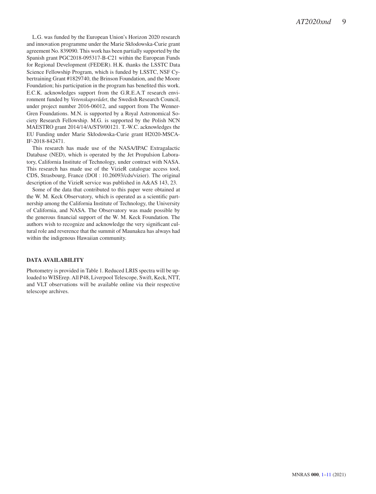L.G. was funded by the European Union's Horizon 2020 research and innovation programme under the Marie Skłodowska-Curie grant agreement No. 839090. This work has been partially supported by the Spanish grant PGC2018-095317-B-C21 within the European Funds for Regional Development (FEDER). H.K. thanks the LSSTC Data Science Fellowship Program, which is funded by LSSTC, NSF Cybertraining Grant #1829740, the Brinson Foundation, and the Moore Foundation; his participation in the program has benefited this work. E.C.K. acknowledges support from the G.R.E.A.T research environment funded by *Vetenskapsrådet*, the Swedish Research Council, under project number 2016-06012, and support from The Wenner-Gren Foundations. M.N. is supported by a Royal Astronomical Society Research Fellowship. M.G. is supported by the Polish NCN MAESTRO grant 2014/14/A/ST9/00121. T.-W.C. acknowledges the EU Funding under Marie Skłodowska-Curie grant H2020-MSCA-IF-2018-842471.

This research has made use of the NASA/IPAC Extragalactic Database (NED), which is operated by the Jet Propulsion Laboratory, California Institute of Technology, under contract with NASA. This research has made use of the VizieR catalogue access tool, CDS, Strasbourg, France (DOI : 10.26093/cds/vizier). The original description of the VizieR service was published in A&AS 143, 23.

Some of the data that contributed to this paper were obtained at the W. M. Keck Observatory, which is operated as a scientific partnership among the California Institute of Technology, the University of California, and NASA. The Observatory was made possible by the generous financial support of the W. M. Keck Foundation. The authors wish to recognize and acknowledge the very significant cultural role and reverence that the summit of Maunakea has always had within the indigenous Hawaiian community.

# **DATA AVAILABILITY**

Photometry is provided in Table 1. Reduced LRIS spectra will be uploaded to WISErep. All P48, Liverpool Telescope, Swift, Keck, NTT, and VLT observations will be available online via their respective telescope archives.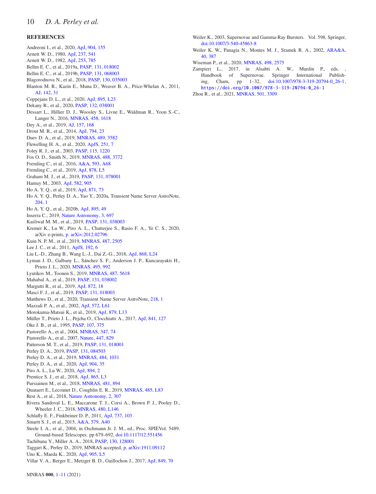## **REFERENCES**

<span id="page-9-60"></span><span id="page-9-58"></span><span id="page-9-55"></span><span id="page-9-54"></span><span id="page-9-52"></span><span id="page-9-49"></span><span id="page-9-45"></span><span id="page-9-44"></span><span id="page-9-42"></span><span id="page-9-39"></span><span id="page-9-38"></span><span id="page-9-36"></span><span id="page-9-35"></span><span id="page-9-31"></span><span id="page-9-30"></span><span id="page-9-29"></span><span id="page-9-28"></span><span id="page-9-27"></span><span id="page-9-26"></span><span id="page-9-24"></span><span id="page-9-17"></span><span id="page-9-15"></span><span id="page-9-12"></span><span id="page-9-10"></span><span id="page-9-9"></span><span id="page-9-6"></span><span id="page-9-5"></span><span id="page-9-2"></span>Andreoni I., et al., 2020, [ApJ,](http://dx.doi.org/10.3847/1538-4357/abbf4c) [904, 155](https://ui.adsabs.harvard.edu/abs/2020ApJ...904..155A) Arnett W. D., 1980, [ApJ,](http://dx.doi.org/10.1086/157898) [237, 541](https://ui.adsabs.harvard.edu/abs/1980ApJ...237..541A) Arnett W. D., 1982, [ApJ,](http://dx.doi.org/10.1086/159681) [253, 785](https://ui.adsabs.harvard.edu/abs/1982ApJ...253..785A) Bellm E. C., et al., 2019a, [PASP,](http://dx.doi.org/10.1088/1538-3873/aaecbe) [131, 018002](https://ui.adsabs.harvard.edu/abs/2019PASP..131a8002B) Bellm E. C., et al., 2019b, [PASP,](http://dx.doi.org/10.1088/1538-3873/ab0c2a) [131, 068003](https://ui.adsabs.harvard.edu/abs/2019PASP..131f8003B) Blagorodnova N., et al., 2018, [PASP,](http://dx.doi.org/10.1088/1538-3873/aaa53f) [130, 035003](https://ui.adsabs.harvard.edu/abs/2018PASP..130c5003B) Blanton M. R., Kazin E., Muna D., Weaver B. A., Price-Whelan A., 2011, [AJ,](http://dx.doi.org/10.1088/0004-6256/142/1/31) [142, 31](https://ui.adsabs.harvard.edu/abs/2011AJ....142...31B) Coppejans D. L., et al., 2020, [ApJ,](http://dx.doi.org/10.3847/2041-8213/ab8cc7) [895, L23](https://ui.adsabs.harvard.edu/abs/2020ApJ...895L..23C) Dekany R., et al., 2020, [PASP,](http://dx.doi.org/10.1088/1538-3873/ab4ca2) [132, 038001](https://ui.adsabs.harvard.edu/abs/2020PASP..132c8001D) Dessart L., Hillier D. J., Woosley S., Livne E., Waldman R., Yoon S.-C., Langer N., 2016, [MNRAS,](http://dx.doi.org/10.1093/mnras/stw418) [458, 1618](https://ui.adsabs.harvard.edu/abs/2016MNRAS.458.1618D) Dey A., et al., 2019, [AJ,](http://dx.doi.org/10.3847/1538-3881/ab089d) [157, 168](https://ui.adsabs.harvard.edu/abs/2019AJ....157..168D) Drout M. R., et al., 2014, [ApJ,](http://dx.doi.org/10.1088/0004-637X/794/1/23) [794, 23](https://ui.adsabs.harvard.edu/abs/2014ApJ...794...23D) Duev D. A., et al., 2019, [MNRAS,](http://dx.doi.org/10.1093/mnras/stz2357) [489, 3582](https://ui.adsabs.harvard.edu/abs/2019MNRAS.489.3582D) Flewelling H. A., et al., 2020, [ApJS,](http://dx.doi.org/10.3847/1538-4365/abb82d) [251, 7](https://ui.adsabs.harvard.edu/abs/2020ApJS..251....7F) Foley R. J., et al., 2003, [PASP,](http://dx.doi.org/10.1086/378242) [115, 1220](https://ui.adsabs.harvard.edu/abs/2003PASP..115.1220F) Fox O. D., Smith N., 2019, [MNRAS,](http://dx.doi.org/10.1093/mnras/stz1925) [488, 3772](https://ui.adsabs.harvard.edu/abs/2019MNRAS.488.3772F) Fremling C., et al., 2016, [A&A,](http://dx.doi.org/10.1051/0004-6361/201628275) [593, A68](https://ui.adsabs.harvard.edu/abs/2016A&A...593A..68F) Fremling C., et al., 2019, [ApJ,](http://dx.doi.org/10.3847/2041-8213/ab218f) [878, L5](https://ui.adsabs.harvard.edu/abs/2019ApJ...878L...5F) Graham M. J., et al., 2019, [PASP,](http://dx.doi.org/10.1088/1538-3873/ab006c) [131, 078001](https://ui.adsabs.harvard.edu/abs/2019PASP..131g8001G) Hamuy M., 2003, [ApJ,](http://dx.doi.org/10.1086/344689) [582, 905](https://ui.adsabs.harvard.edu/abs/2003ApJ...582..905H) Ho A. Y. Q., et al., 2019, [ApJ,](http://dx.doi.org/10.3847/1538-4357/aaf473) [871, 73](https://ui.adsabs.harvard.edu/abs/2019ApJ...871...73H) Ho A. Y. Q., Perley D. A., Yao Y., 2020a, Transient Name Server AstroNote, [204, 1](https://ui.adsabs.harvard.edu/abs/2020TNSAN.204....1H) Ho A. Y. Q., et al., 2020b, [ApJ,](http://dx.doi.org/10.3847/1538-4357/ab8bcf) [895, 49](https://ui.adsabs.harvard.edu/abs/2020ApJ...895...49H) Inserra C., 2019, [Nature Astronomy,](http://dx.doi.org/10.1038/s41550-019-0854-4) [3, 697](https://ui.adsabs.harvard.edu/abs/2019NatAs...3..697I) Kasliwal M. M., et al., 2019, [PASP,](http://dx.doi.org/10.1088/1538-3873/aafbc2) [131, 038003](https://ui.adsabs.harvard.edu/abs/2019PASP..131c8003K) Kremer K., Lu W., Piro A. L., Chatterjee S., Rasio F. A., Ye C. S., 2020, arXiv e-prints, [p. arXiv:2012.02796](https://ui.adsabs.harvard.edu/abs/2020arXiv201202796K) Kuin N. P. M., et al., 2019, [MNRAS,](http://dx.doi.org/10.1093/mnras/stz053) [487, 2505](https://ui.adsabs.harvard.edu/abs/2019MNRAS.487.2505K) Lee J. C., et al., 2011, [ApJS,](http://dx.doi.org/10.1088/0067-0049/192/1/6) [192, 6](https://ui.adsabs.harvard.edu/abs/2011ApJS..192....6L) Liu L.-D., Zhang B., Wang L.-J., Dai Z.-G., 2018, [ApJ,](http://dx.doi.org/10.3847/2041-8213/aaeff6) [868, L24](https://ui.adsabs.harvard.edu/abs/2018ApJ...868L..24L) Lyman J. D., Galbany L., Sánchez S. F., Anderson J. P., Kuncarayakti H., Prieto J. L., 2020, [MNRAS,](http://dx.doi.org/10.1093/mnras/staa1243) [495, 992](https://ui.adsabs.harvard.edu/abs/2020MNRAS.495..992L) Lyutikov M., Toonen S., 2019, [MNRAS,](http://dx.doi.org/10.1093/mnras/stz1640) [487, 5618](https://ui.adsabs.harvard.edu/abs/2019MNRAS.487.5618L) Mahabal A., et al., 2019, [PASP,](http://dx.doi.org/10.1088/1538-3873/aaf3fa) [131, 038002](https://ui.adsabs.harvard.edu/abs/2019PASP..131c8002M) Margutti R., et al., 2019, [ApJ,](http://dx.doi.org/10.3847/1538-4357/aafa01) [872, 18](https://ui.adsabs.harvard.edu/abs/2019ApJ...872...18M) Masci F. J., et al., 2019, [PASP,](http://dx.doi.org/10.1088/1538-3873/aae8ac) [131, 018003](https://ui.adsabs.harvard.edu/abs/2019PASP..131a8003M) Matthews D., et al., 2020, Transient Name Server AstroNote, [218, 1](https://ui.adsabs.harvard.edu/abs/2020TNSAN.218....1M) Mazzali P. A., et al., 2002, [ApJ,](http://dx.doi.org/10.1086/341504) [572, L61](https://ui.adsabs.harvard.edu/abs/2002ApJ...572L..61M) Morokuma-Matsui K., et al., 2019, [ApJ,](http://dx.doi.org/10.3847/2041-8213/ab2915) [879, L13](https://ui.adsabs.harvard.edu/abs/2019ApJ...879L..13M) Müller T., Prieto J. L., Pejcha O., Clocchiatti A., 2017, [ApJ,](http://dx.doi.org/10.3847/1538-4357/aa72f1) [841, 127](https://ui.adsabs.harvard.edu/abs/2017ApJ...841..127M) Oke J. B., et al., 1995, [PASP,](http://dx.doi.org/10.1086/133562) [107, 375](https://ui.adsabs.harvard.edu/abs/1995PASP..107..375O) Pastorello A., et al., 2004, [MNRAS,](http://dx.doi.org/10.1111/j.1365-2966.2004.07173.x) [347, 74](https://ui.adsabs.harvard.edu/abs/2004MNRAS.347...74P) Pastorello A., et al., 2007, [Nature,](http://dx.doi.org/10.1038/nature05825) [447, 829](https://ui.adsabs.harvard.edu/abs/2007Natur.447..829P) Patterson M. T., et al., 2019, [PASP,](http://dx.doi.org/10.1088/1538-3873/aae904) [131, 018001](https://ui.adsabs.harvard.edu/abs/2019PASP..131a8001P) Perley D. A., 2019, [PASP,](http://dx.doi.org/10.1088/1538-3873/ab215d) [131, 084503](https://ui.adsabs.harvard.edu/abs/2019PASP..131h4503P) Perley D. A., et al., 2019, [MNRAS,](http://dx.doi.org/10.1093/mnras/sty3420) [484, 1031](https://ui.adsabs.harvard.edu/abs/2019MNRAS.484.1031P) Perley D. A., et al., 2020, [ApJ,](http://dx.doi.org/10.3847/1538-4357/abbd98) [904, 35](https://ui.adsabs.harvard.edu/abs/2020ApJ...904...35P) Piro A. L., Lu W., 2020, [ApJ,](http://dx.doi.org/10.3847/1538-4357/ab83f6) [894, 2](https://ui.adsabs.harvard.edu/abs/2020ApJ...894....2P) Prentice S. J., et al., 2018, [ApJ,](http://dx.doi.org/10.3847/2041-8213/aadd90) [865, L3](https://ui.adsabs.harvard.edu/abs/2018ApJ...865L...3P) Pursiainen M., et al., 2018, [MNRAS,](http://dx.doi.org/10.1093/mnras/sty2309) [481, 894](https://ui.adsabs.harvard.edu/abs/2018MNRAS.481..894P) Quataert E., Lecoanet D., Coughlin E. R., 2019, [MNRAS,](http://dx.doi.org/10.1093/mnrasl/slz031) [485, L83](https://ui.adsabs.harvard.edu/abs/2019MNRAS.485L..83Q) Rest A., et al., 2018, [Nature Astronomy,](http://dx.doi.org/10.1038/s41550-018-0423-2) [2, 307](https://ui.adsabs.harvard.edu/abs/2018NatAs...2..307R) Rivera Sandoval L. E., Maccarone T. J., Corsi A., Brown P. J., Pooley D., Wheeler J. C., 2018, [MNRAS,](http://dx.doi.org/10.1093/mnrasl/sly145) [480, L146](https://ui.adsabs.harvard.edu/abs/2018MNRAS.480L.146R) Schlafly E. F., Finkbeiner D. P., 2011, [ApJ,](http://dx.doi.org/10.1088/0004-637X/737/2/103) [737, 103](https://ui.adsabs.harvard.edu/abs/2011ApJ...737..103S) Smartt S. J., et al., 2015, [A&A,](http://dx.doi.org/10.1051/0004-6361/201425237) [579, A40](https://ui.adsabs.harvard.edu/abs/2015A&A...579A..40S) Steele I. A., et al., 2004, in Oschmann Jr. J. M., ed., Proc. SPIEVol. 5489, Ground-based Telescopes. pp 679–692, [doi:10.1117/12.551456](http://dx.doi.org/10.1117/12.551456) Tachibana Y., Miller A. A., 2018, [PASP,](http://dx.doi.org/10.1088/1538-3873/aae3d9) [130, 128001](https://ui.adsabs.harvard.edu/abs/2018PASP..130l8001T) Taggart K., Perley D., 2019, MNRAS accepted, [p. arXiv:1911.09112](https://ui.adsabs.harvard.edu/abs/2019arXiv191109112T) Uno K., Maeda K., 2020, [ApJ,](http://dx.doi.org/10.3847/2041-8213/abca32) [905, L5](https://ui.adsabs.harvard.edu/abs/2020ApJ...905L...5U) Villar V. A., Berger E., Metzger B. D., Guillochon J., 2017, [ApJ,](http://dx.doi.org/10.3847/1538-4357/aa8fcb) [849, 70](https://ui.adsabs.harvard.edu/abs/2017ApJ...849...70V)

<span id="page-9-62"></span><span id="page-9-61"></span><span id="page-9-59"></span><span id="page-9-56"></span><span id="page-9-53"></span><span id="page-9-51"></span><span id="page-9-50"></span><span id="page-9-48"></span><span id="page-9-47"></span><span id="page-9-46"></span><span id="page-9-43"></span><span id="page-9-41"></span><span id="page-9-37"></span><span id="page-9-34"></span><span id="page-9-33"></span><span id="page-9-32"></span><span id="page-9-23"></span><span id="page-9-22"></span><span id="page-9-21"></span><span id="page-9-20"></span><span id="page-9-19"></span><span id="page-9-18"></span><span id="page-9-16"></span><span id="page-9-14"></span><span id="page-9-13"></span><span id="page-9-11"></span><span id="page-9-8"></span><span id="page-9-7"></span><span id="page-9-1"></span><span id="page-9-0"></span>

- <span id="page-9-3"></span>Weiler K., 2003, Supernovae and Gamma-Ray Bursters. Vol. 598, Springer, [doi:10.1007/3-540-45863-8](http://dx.doi.org/10.1007/3-540-45863-8)
- <span id="page-9-57"></span>Weiler K. W., Panagia N., Montes M. J., Sramek R. A., 2002, [ARA&A,](http://dx.doi.org/10.1146/annurev.astro.40.060401.093744) [40, 387](https://ui.adsabs.harvard.edu/abs/2002ARA&A..40..387W)
- <span id="page-9-25"></span>Wiseman P., et al., 2020, [MNRAS,](http://dx.doi.org/10.1093/mnras/staa2474) [498, 2575](https://ui.adsabs.harvard.edu/abs/2020MNRAS.498.2575W)
- <span id="page-9-40"></span><span id="page-9-4"></span>Zampieri L., 2017, in Alsabti A. W., Murdin P., eds, Handbook of Supernovae. Springer International Publishing, Cham, pp 1–32, [doi:10.1007/978-3-319-20794-0\\_26-1,](http://dx.doi.org/10.1007/978-3-319-20794-0_26-1) [https://doi.org/10.1007/978-3-319-20794-0\\_26-1](https://doi.org/10.1007/978-3-319-20794-0_26-1) Zhou R., et al., 2021, [MNRAS,](http://dx.doi.org/10.1093/mnras/staa3764) [501, 3309](https://ui.adsabs.harvard.edu/abs/2021MNRAS.501.3309Z)